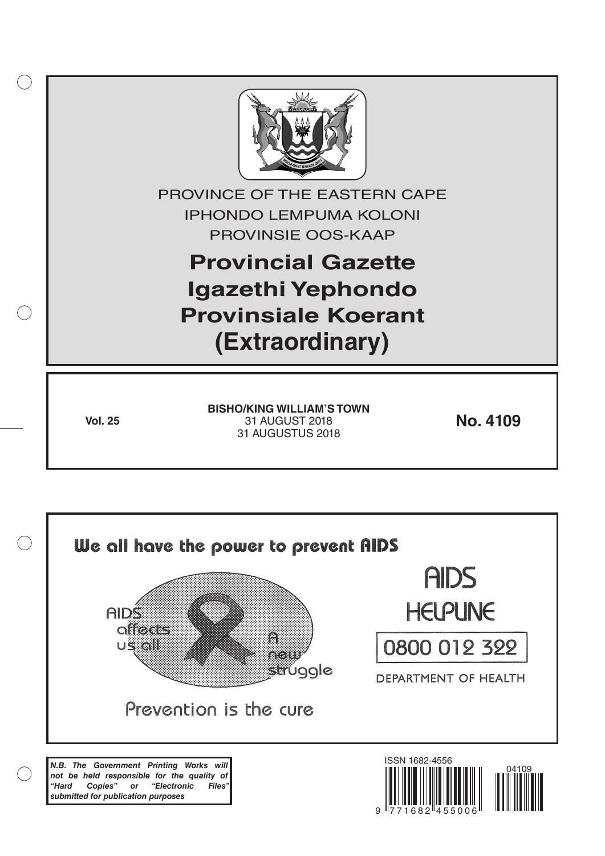

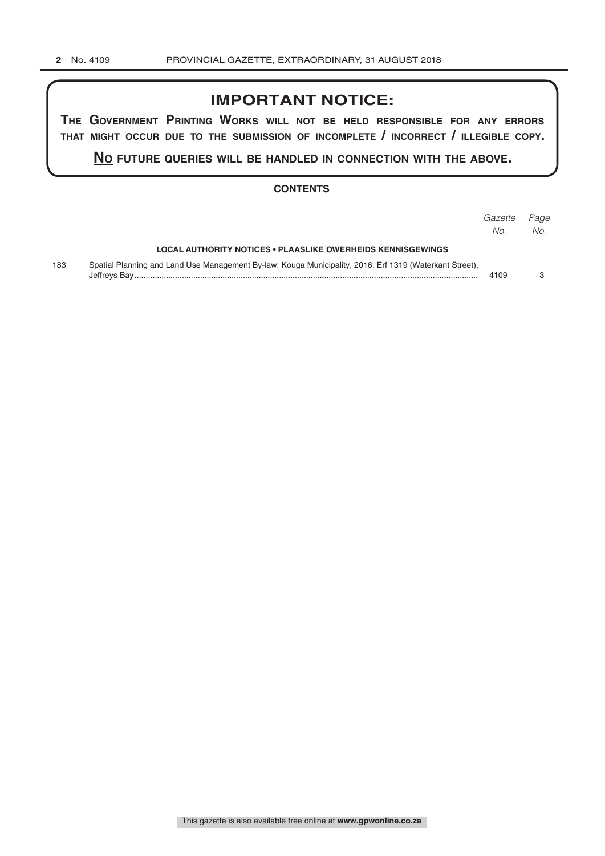# **IMPORTANT NOTICE:**

**The GovernmenT PrinTinG Works Will noT be held resPonsible for any errors ThaT miGhT occur due To The submission of incomPleTe / incorrecT / illeGible coPy.**

**no fuTure queries Will be handled in connecTion WiTh The above.**

#### **CONTENTS**

|     |                                                                                                         | Gazette<br>No. | Page<br>No. |
|-----|---------------------------------------------------------------------------------------------------------|----------------|-------------|
|     | LOCAL AUTHORITY NOTICES • PLAASLIKE OWERHEIDS KENNISGEWINGS                                             |                |             |
| 183 | Spatial Planning and Land Use Management By-law: Kouga Municipality, 2016: Erf 1319 (Waterkant Street), | 4109           |             |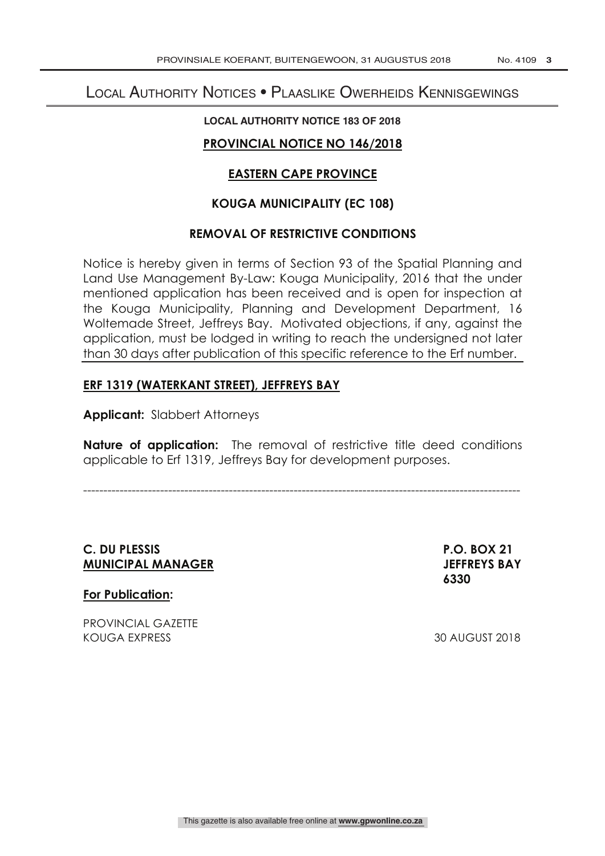# Local Authority Notices • Plaaslike Owerheids Kennisgewings

#### **LOCAL AUTHORITY NOTICE 183 OF 2018**

## **PROVINCIAL NOTICE NO 146/2018**

## **EASTERN CAPE PROVINCE**

## **KOUGA MUNICIPALITY (EC 108)**

#### **REMOVAL OF RESTRICTIVE CONDITIONS**

Notice is hereby given in terms of Section 93 of the Spatial Planning and Land Use Management By-Law: Kouga Municipality, 2016 that the under mentioned application has been received and is open for inspection at the Kouga Municipality, Planning and Development Department, 16 Woltemade Street, Jeffreys Bay. Motivated objections, if any, against the application, must be lodged in writing to reach the undersigned not later than 30 days after publication of this specific reference to the Erf number.

## **ERF 1319 (WATERKANT STREET), JEFFREYS BAY**

**Applicant:** Slabbert Attorneys

**Nature of application:** The removal of restrictive title deed conditions applicable to Erf 1319, Jeffreys Bay for development purposes.

------------------------------------------------------------------------------------------------------------

## **C. DU PLESSIS P.O. BOX 21 MUNICIPAL MANAGER JEFFREYS BAY**

 **6330**

**For Publication:** 

PROVINCIAL GAZETTE KOUGA EXPRESS 30 AUGUST 2018